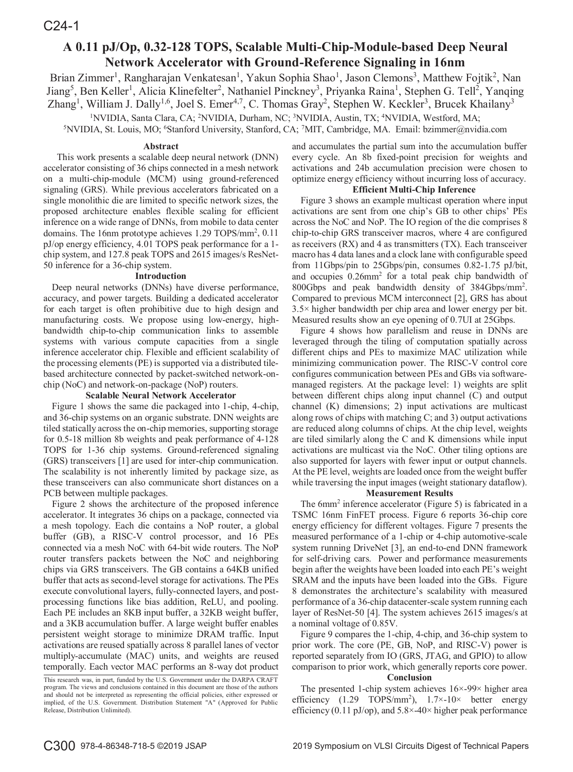# **A 0.11 pJ/Op, 0.32-128 TOPS, Scalable Multi-Chip-Module-based Deep Neural Network Accelerator with Ground-Reference Signaling in 16nm**

Brian Zimmer<sup>1</sup>, Rangharajan Venkatesan<sup>1</sup>, Yakun Sophia Shao<sup>1</sup>, Jason Clemons<sup>3</sup>, Matthew Fojtik<sup>2</sup>, Nan Jiang<sup>5</sup>, Ben Keller<sup>1</sup>, Alicia Klinefelter<sup>2</sup>, Nathaniel Pinckney<sup>3</sup>, Priyanka Raina<sup>1</sup>, Stephen G. Tell<sup>2</sup>, Yanqing Zhang<sup>1</sup>, William J. Dally<sup>1,6</sup>, Joel S. Emer<sup>4,7</sup>, C. Thomas Gray<sup>2</sup>, Stephen W. Keckler<sup>3</sup>, Brucek Khailany<sup>3</sup>

<sup>1</sup>NVIDIA, Santa Clara, CA; <sup>2</sup>NVIDIA, Durham, NC; <sup>3</sup>NVIDIA, Austin, TX; <sup>4</sup>

<sup>1</sup>NVIDIA, Santa Clara, CA; <sup>2</sup>NVIDIA, Durham, NC; <sup>3</sup>NVIDIA, Austin, TX; <sup>4</sup>NVIDIA, Westford, MA;<br><sup>5</sup>NVIDIA, St. Louis, MO; <sup>6</sup>Stanford University, Stanford, CA; <sup>7</sup>MIT, Cambridge, MA. Email: bzimmer@nvidia.com

## **Abstract**

This work presents a scalable deep neural network (DNN) accelerator consisting of 36 chips connected in a mesh network on a multi-chip-module (MCM) using ground-referenced signaling (GRS). While previous accelerators fabricated on a single monolithic die are limited to specific network sizes, the proposed architecture enables flexible scaling for efficient inference on a wide range of DNNs, from mobile to data center domains. The 16nm prototype achieves 1.29 TOPS/mm<sup>2</sup>, 0.11 pJ/op energy efficiency, 4.01 TOPS peak performance for a 1 chip system, and 127.8 peak TOPS and 2615 images/s ResNet-50 inference for a 36-chip system.

## **Introduction**

Deep neural networks (DNNs) have diverse performance, accuracy, and power targets. Building a dedicated accelerator for each target is often prohibitive due to high design and manufacturing costs. We propose using low-energy, highbandwidth chip-to-chip communication links to assemble systems with various compute capacities from a single inference accelerator chip. Flexible and efficient scalability of the processing elements (PE) is supported via a distributed tilebased architecture connected by packet-switched network-onchip (NoC) and network-on-package (NoP) routers.

## **Scalable Neural Network Accelerator**

Figure 1 shows the same die packaged into 1-chip, 4-chip, and 36-chip systems on an organic substrate. DNN weights are tiled statically across the on-chip memories, supporting storage for 0.5-18 million 8b weights and peak performance of 4-128 TOPS for 1-36 chip systems. Ground-referenced signaling (GRS) transceivers [1] are used for inter-chip communication. The scalability is not inherently limited by package size, as these transceivers can also communicate short distances on a PCB between multiple packages.

Figure 2 shows the architecture of the proposed inference accelerator. It integrates 36 chips on a package, connected via a mesh topology. Each die contains a NoP router, a global buffer (GB), a RISC-V control processor, and 16 PEs connected via a mesh NoC with 64-bit wide routers. The NoP router transfers packets between the NoC and neighboring chips via GRS transceivers. The GB contains a 64KB unified buffer that acts as second-level storage for activations. The PEs execute convolutional layers, fully-connected layers, and postprocessing functions like bias addition, ReLU, and pooling. Each PE includes an 8KB input buffer, a 32KB weight buffer, and a 3KB accumulation buffer. A large weight buffer enables persistent weight storage to minimize DRAM traffic. Input activations are reused spatially across 8 parallel lanes of vector multiply-accumulate (MAC) units, and weights are reused temporally. Each vector MAC performs an 8-way dot product and accumulates the partial sum into the accumulation buffer every cycle. An 8b fixed-point precision for weights and activations and 24b accumulation precision were chosen to optimize energy efficiency without incurring loss of accuracy.

## **Efficient Multi-Chip Inference**

Figure 3 shows an example multicast operation where input activations are sent from one chip's GB to other chips' PEs across the NoC and NoP. The IO region of the die comprises 8 chip-to-chip GRS transceiver macros, where 4 are configured as receivers (RX) and 4 as transmitters (TX). Each transceiver macro has 4 data lanes and a clock lane with configurable speed from 11Gbps/pin to 25Gbps/pin, consumes 0.82-1.75 pJ/bit, and occupies 0.26mm<sup>2</sup> for a total peak chip bandwidth of 800Gbps and peak bandwidth density of 384Gbps/mm2 . Compared to previous MCM interconnect [2], GRS has about 3.5× higher bandwidth per chip area and lower energy per bit. Measured results show an eye opening of 0.7UI at 25Gbps.

Figure 4 shows how parallelism and reuse in DNNs are leveraged through the tiling of computation spatially across different chips and PEs to maximize MAC utilization while minimizing communication power. The RISC-V control core configures communication between PEs and GBs via softwaremanaged registers. At the package level: 1) weights are split between different chips along input channel (C) and output channel (K) dimensions; 2) input activations are multicast along rows of chips with matching C; and 3) output activations are reduced along columns of chips. At the chip level, weights are tiled similarly along the C and K dimensions while input activations are multicast via the NoC. Other tiling options are also supported for layers with fewer input or output channels. At the PE level, weights are loaded once from the weight buffer while traversing the input images (weight stationary dataflow).

## **Measurement Results**

The 6mm2 inference accelerator (Figure 5) is fabricated in a TSMC 16nm FinFET process. Figure 6 reports 36-chip core energy efficiency for different voltages. Figure 7 presents the measured performance of a 1-chip or 4-chip automotive-scale system running DriveNet [3], an end-to-end DNN framework for self-driving cars. Power and performance measurements begin after the weights have been loaded into each PE's weight SRAM and the inputs have been loaded into the GBs. Figure 8 demonstrates the architecture's scalability with measured performance of a 36-chip datacenter-scale system running each layer of ResNet-50 [4]. The system achieves 2615 images/s at a nominal voltage of 0.85V.

Figure 9 compares the 1-chip, 4-chip, and 36-chip system to prior work. The core (PE, GB, NoP, and RISC-V) power is reported separately from IO (GRS, JTAG, and GPIO) to allow comparison to prior work, which generally reports core power.

#### **Conclusion**

The presented 1-chip system achieves 16×-99× higher area efficiency  $(1.29 \text{ TOPS/mm}^2)$ ,  $1.7 \times -10 \times$  better energy efficiency (0.11 pJ/op), and  $5.8 \times -40 \times$  higher peak performance

This research was, in part, funded by the U.S. Government under the DARPA CRAFT program. The views and conclusions contained in this document are those of the authors and should not be interpreted as representing the official policies, either expressed or implied, of the U.S. Government. Distribution Statement "A" (Approved for Public Release, Distribution Unlimited).